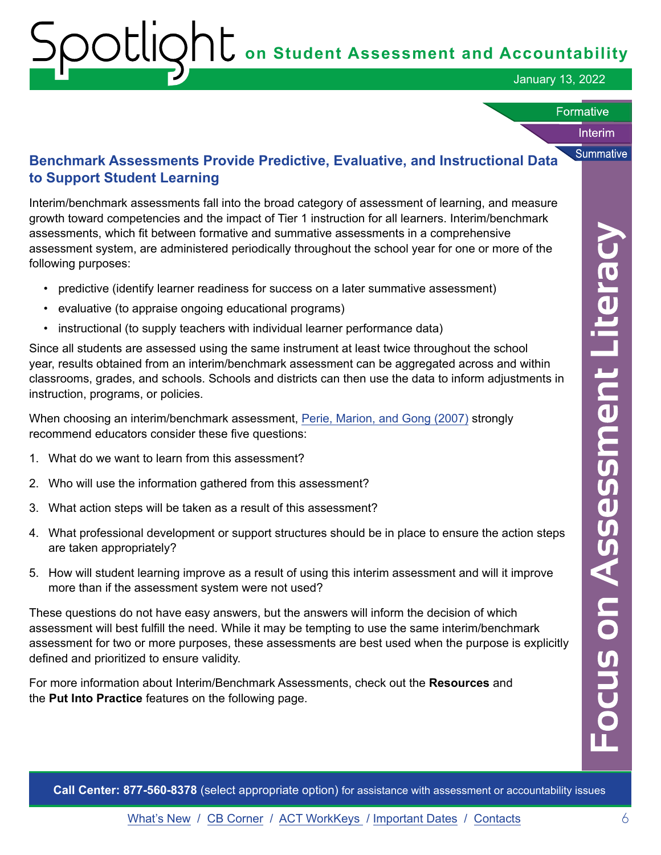# **on Student Assessment and Accountability**

January 13, 2022

### **Formative**

### Interim

**Summative** 

# **Benchmark Assessments Provide Predictive, Evaluative, and Instructional Data to Support Student Learning**

Interim/benchmark assessments fall into the broad category of assessment of learning, and measure growth toward competencies and the impact of Tier 1 instruction for all learners. Interim/benchmark assessments, which fit between formative and summative assessments in a comprehensive assessment system, are administered periodically throughout the school year for one or more of the following purposes:

- predictive (identify learner readiness for success on a later summative assessment)
- evaluative (to appraise ongoing educational programs)
- instructional (to supply teachers with individual learner performance data)

Since all students are assessed using the same instrument at least twice throughout the school year, results obtained from an interim/benchmark assessment can be aggregated across and within classrooms, grades, and schools. Schools and districts can then use the data to inform adjustments in instruction, programs, or policies.

When choosing an interim/benchmark assessment, [Perie, Marion, and Gong \(2007\)](http://achieve.org/files/TheRoleofInterimAssessments.pdf) strongly recommend educators consider these five questions:

- 1. What do we want to learn from this assessment?
- 2. Who will use the information gathered from this assessment?
- 3. What action steps will be taken as a result of this assessment?
- 4. What professional development or support structures should be in place to ensure the action steps are taken appropriately?
- 5. How will student learning improve as a result of using this interim assessment and will it improve more than if the assessment system were not used?

These questions do not have easy answers, but the answers will inform the decision of which assessment will best fulfill the need. While it may be tempting to use the same interim/benchmark assessment for two or more purposes, these assessments are best used when the purpose is explicitly defined and prioritized to ensure validity.

For more information about Interim/Benchmark Assessments, check out the **Resources** and the **Put Into Practice** features on the following page.

**Call Center: 877-560-8378** (select appropriate option) for assistance with assessment or accountability issues